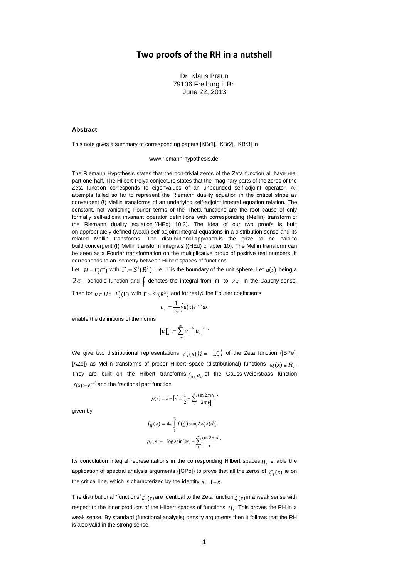### **Two proofs of the RH in a nutshell**

Dr. Klaus Braun 79106 Freiburg i. Br. June 22, 2013

### **Abstract**

This note gives a summary of corresponding papers [KBr1], [KBr2], [KBr3] in

#### [www.riemann-hypothesis.de.](http://www.riemann-hypothesis.de/)

The Riemann Hypothesis states that the non-trivial zeros of the Zeta function all have real part one-half. The Hilbert-Polya conjecture states that the imaginary parts of the zeros of the Zeta function corresponds to eigenvalues of an unbounded self-adjoint operator. All attempts failed so far to represent the Riemann duality equation in the critical stripe as convergent (!) Mellin transforms of an underlying self-adjoint integral equation relation. The constant, not vanishing Fourier terms of the Theta functions are the root cause of only formally self-adjoint invariant operator definitions with corresponding (Mellin) transform of the Riemann duality equation ((HEd) 10.3). The idea of our two proofs is built on appropriately defined (weak) self-adjoint integral equations in a distribution sense and its related Mellin transforms. The distributional approach is the prize to be paid to build convergent (!) Mellin transform integrals ((HEd) chapter 10). The Mellin transform can be seen as a Fourier transformation on the multiplicative group of positive real numbers. It corresponds to an isometry between Hilbert spaces of functions.

Let  $H = L_2^*(\Gamma)$  with  $\Gamma := S^1(R^2)$ , i.e.  $\Gamma$  is the boundary of the unit sphere. Let  $u(s)$  being a  $2\pi$  – periodic function and  $\int$  denotes the integral from O to  $2\pi$  in the Cauchy-sense. Then for  $u \in H := L_2^*(\Gamma)$  with  $\Gamma := S^1(R^2)$  and for real  $\beta$  the Fourier coefficients

$$
u_v := \frac{1}{2\pi} \oint u(x) e^{-iux} dx
$$

enable the definitions of the norms

$$
\left\|u\right\|_{\beta}^2:=\sum_{-\infty}^\infty\left|v\right|^{2\beta}\left|u_v\right|^2\; \cdot
$$

We give two distributional representations  $\textstyle\zeta_i(s)$  ( $i$  = -1,0) of the Zeta function ([BPe], [AZe]) as Mellin transforms of proper Hilbert space (distributional) functions  $\omega_i(x) \in H_i$ . They are built on the Hilbert transforms  $f_{_H}, \rho_{_H}$  of the Gauss-Weierstrass function  $f(x) = e^{-\pi x^2}$  and the fractional part function

$$
\rho(x) = x - [x] = \frac{1}{2} - \sum_{1}^{\infty} \frac{\sin 2\pi x}{2\pi |v|} ,
$$

given by

$$
f_H(x) = 4\pi \int_0^{\infty} f(\xi) \sin(2\pi \xi x) d\xi
$$

$$
\rho_H(x) = -\log 2\sin(\pi x) = \sum_{1}^{\infty} \frac{\cos 2\pi \nu x}{\nu}.
$$

Its convolution integral representations in the corresponding Hilbert spaces *Hi* enable the application of spectral analysis arguments ([GPo]) to prove that all the zeros of  $\zeta_i(s)$  lie on the critical line, which is characterized by the identity  $s = 1 - s$ .

The distributional "functions"  $\zeta_i(s)$  are identical to the Zeta function  $\zeta(s)$  in a weak sense with respect to the inner products of the Hilbert spaces of functions *Hi* . This proves the RH in a weak sense. By standard (functional analysis) density arguments then it follows that the RH is also valid in the strong sense.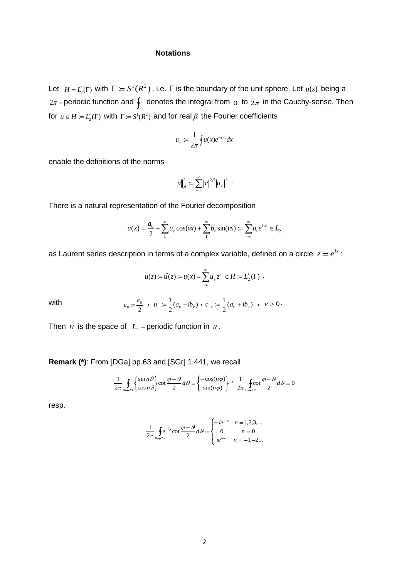### **Notations**

Let  $H = L_2^*(\Gamma)$  with  $\Gamma := S^1(R^2)$ , i.e.  $\Gamma$  is the boundary of the unit sphere. Let  $u(s)$  being a  $2\pi$ –periodic function and  $\oint$  denotes the integral from  $_{\rm O}$  to  $_{2\pi}$  in the Cauchy-sense. Then for  $u \in H := L_2^*(\Gamma)$  with  $\Gamma := S^1(R^2)$  and for real  $\beta$  the Fourier coefficients

$$
u_{\nu} := \frac{1}{2\pi} \oint u(x) e^{-i\nu x} dx
$$

enable the definitions of the norms

$$
||u||_{\beta}^{2} := \sum_{-\infty}^{\infty} |v|^{2\beta} |u_{v}|^{2} .
$$

There is a natural representation of the Fourier decomposition

$$
u(x) = \frac{a_0}{2} + \sum_{1}^{\infty} a_{v} \cos(vx) + \sum_{1}^{\infty} b_{v} \sin(vx) := \sum_{-\infty}^{\infty} u_{v} e^{iw} \in L_2
$$

as Laurent series description in terms of a complex variable, defined on a circle  $z = e^{ix}$ :

$$
u(z) := \widetilde{u}(z) := u(x) = \sum_{-\infty}^{\infty} u_{\nu} z^{\nu} \in H := L_2^*(\Gamma) .
$$

with

$$
u_0 \coloneqq \frac{a_0}{2} \quad , \quad u_\nu \coloneqq \frac{1}{2}(a_\nu - ib_\nu) \quad , \quad c_{-\nu} \coloneqq \frac{1}{2}(a_\nu + ib_\nu) \quad , \quad \nu > 0 \, .
$$

Then  $H$  is the space of  $L_2$  – periodic function in  $R$ .

**Remark (\*)**: From [DGa] pp.63 and [SGr] 1.441, we recall

$$
\frac{1}{2\pi} \oint_{0\to 2\pi} \begin{Bmatrix} \sin n\theta \\ \cos n\theta \end{Bmatrix} \cot \frac{\varphi - \vartheta}{2} d\theta = \begin{Bmatrix} -\cos(n\varphi) \\ \sin(n\varphi) \end{Bmatrix} , \frac{1}{2\pi} \oint_{0\to 2\pi} \cot \frac{\varphi - \vartheta}{2} d\theta = 0
$$

resp.

$$
\frac{1}{2\pi} \oint e^{in\varphi} \cot \frac{\varphi - \vartheta}{2} d\vartheta = \begin{cases} -ie^{in\varphi} & n = 1, 2, 3, \dots \\ 0 & n = 0 \\ ie^{in\varphi} & n = -1, -2, \dots \end{cases}
$$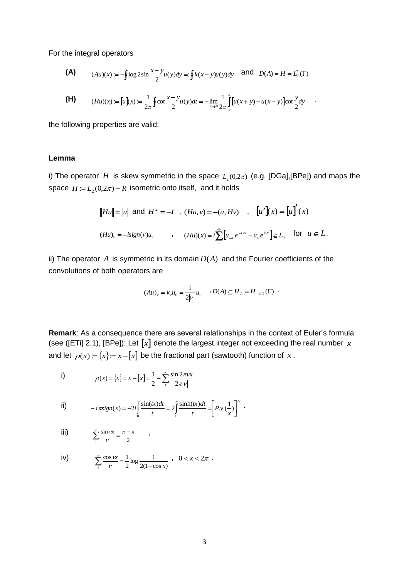For the integral operators

(A) 
$$
(Au)(x) := -\oint \log 2\sin \frac{x-y}{2} u(y) dy =: \oint k(x-y) u(y) dy
$$
 and  $D(A) = H = L^*(\Gamma)$ 

(H) 
$$
(Hu)(x) := [u](x) := \frac{1}{2\pi} \oint \cot \frac{x-y}{2} u(y) dt = -\lim_{\varepsilon \to 0} \frac{1}{2\pi} \int_{\varepsilon}^{\pi} [u(x+y) - u(x-y)] \cot \frac{y}{2} dy
$$

the following properties are valid:

### **Lemma**

i) The operator  $H$  is skew symmetric in the space  $L_2(0,2\pi)$  (e.g. [DGa],[BPe]) and maps the space  $H = L<sub>2</sub>(0, 2\pi) - R$  isometric onto itself, and it holds

$$
||Hu|| = ||u||
$$
 and  $H^2 = -I$ ,  $(Hu, v) = -(u, Hv)$ ,  $[u'](x) = [u]'(x)$   
 $(Hu)_v = -isign(v)u_v$ ,  $(Hu)(x) = i\sum_{n=1}^{\infty} [u_{-v}e^{-i\alpha} - u_{v}e^{i\alpha}] \in L_2$  for  $u \in L_2$ 

ii) The operator  $A$  is symmetric in its domain  $D(A)$  and the Fourier coefficients of the convolutions of both operators are

$$
(Au)_{v} = k_{v} u_{v} = \frac{1}{2|v|} u_{v} \quad D(A) \subseteq H_{A} = H_{-1/2}(\Gamma) \ .
$$

**Remark**: As a consequence there are several relationships in the context of Euler's formula (see ([ETi] 2.1), [BPe]): Let  $\llbracket x \rrbracket$  denote the largest integer not exceeding the real number  $\,x$ and let  $\rho(x) = \{x\} = x - \lceil x \rceil$  be the fractional part (sawtooth) function of x.

i) 
$$
\rho(x) = \{x\} = x - [x] = \frac{1}{2} - \sum_{1}^{\infty} \frac{\sin 2\pi rx}{2\pi |v|}
$$

$$
\text{ii)} \qquad \qquad -i\pi \text{sign}(x) = -2i \int_0^\infty \frac{\sin(tx)dt}{t} = 2 \int_0^\infty \frac{\sinh(tx)dt}{t} = \left[ P.v.(\frac{1}{x}) \right]^\wedge.
$$

$$
\text{iii)} \qquad \qquad \sum_{1}^{\infty} \frac{\sin \nu x}{\nu} = \frac{\pi - x}{2} \qquad ,
$$

iv) 
$$
\sum_{1}^{\infty} \frac{\cos \nu x}{\nu} = \frac{1}{2} \log \frac{1}{2(1 - \cos x)}, \quad 0 < x < 2\pi.
$$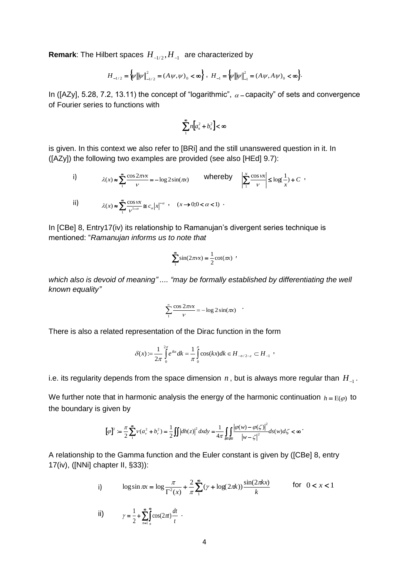**Remark**: The Hilbert spaces  $H_{-1/2}, H_{-1}$  are characterized by

$$
H_{-1/2} = \big\{\!\!\psi\big\|\!\!\big|\psi\big\|\!\big|_{-1/2}^2 = (A\,\psi,\psi)_0 < \infty\big\} \;, \; H_{-1} = \big\{\!\!\!\big|\psi\big\|\!\!\big|\psi\big\|\!\big|_{-1}^2 = (A\,\psi,A\,\psi)_0 < \infty\big\}.
$$

In ([AZy], 5.28, 7.2, 13.11) the concept of "logarithmic",  $\alpha$  – capacity" of sets and convergence of Fourier series to functions with

$$
\sum_{1}^{\infty} n \bigg[a_n^2 + b_n^2\bigg] < \infty
$$

is given. In this context we also refer to [BRi] and the still unanswered question in it. In ([AZy]) the following two examples are provided (see also [HEd] 9.7):

i) 
$$
\lambda(x) \approx \sum_{1}^{\infty} \frac{\cos 2\pi x}{v} = -\log 2 \sin(\pi x)
$$
 whereby 
$$
\left| \sum_{1}^{N} \frac{\cos \alpha}{v} \right| \le \log(\frac{1}{x}) + C,
$$
  
ii) 
$$
\lambda(x) \approx \sum_{1}^{\infty} \frac{\cos \alpha}{v^{1-\alpha}} \le c_{\alpha} |x|^{-\alpha}, \quad (x \to 0; 0 < \alpha < 1).
$$

In [CBe] 8, Entry17(iv) its relationship to Ramanujan's divergent series technique is mentioned: "*Ramanujan informs us to note that*

$$
\sum_{1}^{\infty} \sin(2\pi vx) = \frac{1}{2} \cot(\pi x)
$$

*which also is devoid of meaning" .... "may be formally established by differentiating the well known equality"*

$$
\sum_{1}^{\infty} \frac{\cos 2\pi v x}{v} = -\log 2 \sin(\pi x)
$$

There is also a related representation of the Dirac function in the form

$$
\delta(x) := \frac{1}{2\pi} \int_{0}^{2\pi} e^{ikx} dk = \frac{1}{\pi} \int_{0}^{\pi} \cos(kx) dk \in H_{-n/2-\varepsilon} \subset H_{-1}
$$

i.e. its regularity depends from the space dimension  $\,n$  , but is always more regular than  $\,H_{_{-1}}$  .

We further note that in harmonic analysis the energy of the harmonic continuation  $h = E(\varphi)$  to the boundary is given by

$$
[\varphi]^2:=\frac{\pi}{2}\sum_1^{\infty}v(a_v^2+b_v^2)=\frac{1}{2}\iint |dh(z)|^2 dxdy=\frac{1}{4\pi}\iint_{\partial B\partial B}\frac{|\varphi(w)-\varphi(\zeta)|^2}{\left|w-\zeta\right|^2}ds(w)d\zeta<\infty
$$

A relationship to the Gamma function and the Euler constant is given by ([CBe] 8, entry 17(iv), ([NNi] chapter II, §33)):

naper II, §33J):  
\ni) 
$$
\log \sin \pi x = \log \frac{\pi}{\Gamma^2(x)} + \frac{2}{\pi} \sum_{1}^{\infty} (\gamma + \log(2\pi k)) \frac{\sin(2\pi k x)}{k}
$$
 for  $0 < x < 1$ 

$$
\textbf{ii)} \qquad \qquad \gamma = \frac{1}{2} + \sum_{n=1}^{\infty} \int_{n}^{\infty} \cos(2\pi t) \frac{dt}{t} \ \ .
$$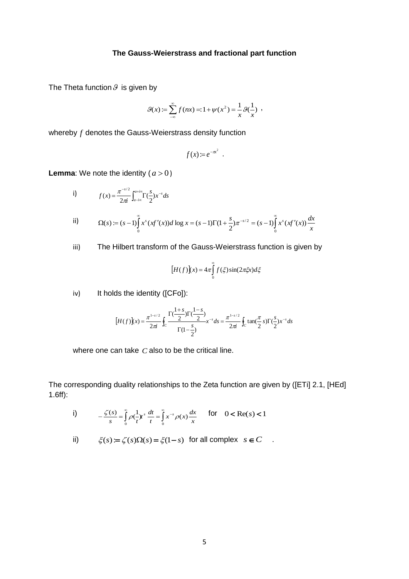### **The Gauss-Weierstrass and fractional part function**

The Theta function  $\vartheta$  is given by

$$
\mathcal{G}(x) := \sum_{-\infty}^{\infty} f(nx) = 1 + \psi(x^2) = \frac{1}{x} \mathcal{G}(\frac{1}{x}) ,
$$

whereby *f* denotes the Gauss-Weierstrass density function

$$
f(x) = e^{-\pi^2}.
$$

**Lemma**: We note the identity  $(a > 0)$ 

i) 
$$
f(x) = \frac{\pi^{-s/2}}{2\pi i} \int_{a - i\infty}^{a + i\infty} \Gamma(\frac{s}{2}) x^{-s} ds
$$

ii) 
$$
\Omega(s) := (s-1)\int_{0}^{\infty} x^{s} (xf'(x))d \log x = (s-1)\Gamma(1+\frac{s}{2})\pi^{-s/2} = (s-1)\int_{0}^{\infty} x^{s} (xf'(x))\frac{dx}{x}
$$

iii) The Hilbert transform of the Gauss-Weierstrass function is given by

$$
[H(f)](x) = 4\pi \int_{0}^{\infty} f(\xi) \sin(2\pi \xi x) d\xi
$$

iv) It holds the identity ([CFo]):

$$
[H(f)](x) = \frac{\pi^{1-s/2}}{2\pi i} \oint_C \frac{\Gamma(\frac{1+s}{2})\Gamma(\frac{1-s}{2})}{\Gamma(1-\frac{s}{2})} x^{-s} ds = \frac{\pi^{1-s/2}}{2\pi i} \oint_C \tan(\frac{\pi}{2}s) \Gamma(\frac{s}{2}) x^{-s} ds
$$

where one can take  $C$  also to be the critical line.

The corresponding duality relationships to the Zeta function are given by ([ETi] 2.1, [HEd] 1.6ff):

i)  $-\frac{\zeta(s)}{s} = \int_{0}^{\infty} \rho(\frac{1}{t})t^{s} dt = \int_{0}^{\infty} x^{-t} dt$  $\begin{array}{ccccccccc}\n0 & & t & & t & & 0\n\end{array}$  $\frac{f(s)}{g(s)} = \int_{0}^{\infty} \rho(-t) t^{s} dt = \int_{0}^{\infty} x^{-s} \rho(x) dt$ *x*  $\frac{dt}{t} = \int_{0}^{\infty} x^{-s} \rho(x) \frac{dx}{x}$  $\frac{\zeta(s)}{s} = \int_{0}^{\infty} \rho(\frac{1}{t}) t^{s} dt = \int_{0}^{\infty} x^{-s} \rho(x) \frac{dx}{x}$  for  $0 < \text{Re}(s) < 1$ 

ii) 
$$
\xi(s) := \zeta(s)\Omega(s) = \xi(1-s)
$$
 for all complex  $s \in C$ .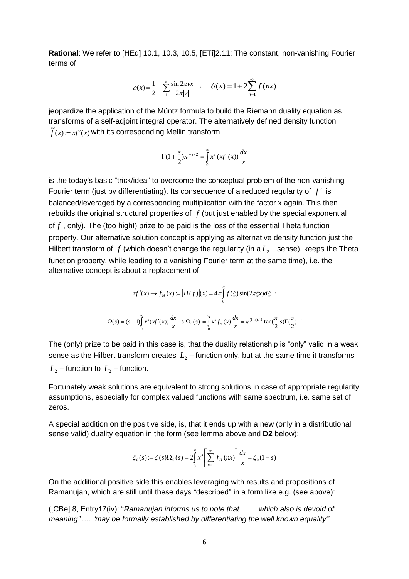**Rational**: We refer to [HEd] 10.1, 10.3, 10.5, [ETi]2.11: The constant, non-vanishing Fourier terms of

$$
\rho(x) = \frac{1}{2} - \sum_{1}^{\infty} \frac{\sin 2\pi rx}{2\pi |v|} , \quad \mathcal{G}(x) = 1 + 2 \sum_{n=1}^{\infty} f(nx)
$$

jeopardize the application of the Müntz formula to build the Riemann duality equation as transforms of a self-adjoint integral operator. The alternatively defined density function  $\widetilde{f}(x) := xf'(x)$  with its corresponding Mellin transform

$$
\Gamma(1+\frac{s}{2})\pi^{-s/2} = \int_{0}^{\infty} x^s (xf'(x)) \frac{dx}{x}
$$

is the today's basic "trick/idea" to overcome the conceptual problem of the non-vanishing Fourier term (just by differentiating). Its consequence of a reduced regularity of  $f'$  is balanced/leveraged by a corresponding multiplication with the factor x again. This then rebuilds the original structural properties of  $f$  (but just enabled by the special exponential of f, only). The (too high!) prize to be paid is the loss of the essential Theta function property. Our alternative solution concept is applying as alternative density function just the Hilbert transform of  $f$  (which doesn't change the regularity (in a  $L_2$  – sense), keeps the Theta function property, while leading to a vanishing Fourier term at the same time), i.e. the alternative concept is about a replacement of

$$
xf'(x) \to f_H(x) := [H(f)](x) = 4\pi \int_0^{\infty} f(\xi) \sin(2\pi \xi x) d\xi
$$
  

$$
\Omega(s) = (s-1) \int_0^{\infty} x^s (xf'(x)) \frac{dx}{x} \to \Omega_0(s) := \int_0^{\infty} x^s f_H(x) \frac{dx}{x} = \pi^{(1-s)/2} \tan(\frac{\pi}{2} s) \Gamma(\frac{s}{2})
$$

The (only) prize to be paid in this case is, that the duality relationship is "only" valid in a weak sense as the Hilbert transform creates  $\, L_{2} \, -$  function only, but at the same time it transforms  $L_{2}$  – function to  $L_{2}$  – function.

Fortunately weak solutions are equivalent to strong solutions in case of appropriate regularity assumptions, especially for complex valued functions with same spectrum, i.e. same set of zeros.

A special addition on the positive side, is, that it ends up with a new (only in a distributional sense valid) duality equation in the form (see lemma above and **D2** below):

$$
\xi_0(s) := \zeta(s)\Omega_0(s) = 2\int_0^{\infty} x^s \left[ \sum_{n=1}^{\infty} f_H(nx) \right] \frac{dx}{x} = \xi_0(1-s)
$$

On the additional positive side this enables leveraging with results and propositions of Ramanujan, which are still until these days "described" in a form like e.g. (see above):

([CBe] 8, Entry17(iv): "*Ramanujan informs us to note that …… which also is devoid of meaning" .... "may be formally established by differentiating the well known equality" ….*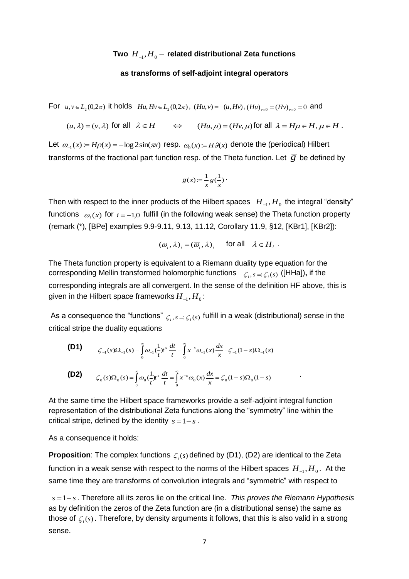# Two  $\ H_{_{-1}},H_{_{0}}-$  related distributional Zeta functions

### **as transforms of self-adjoint integral operators**

For  $u, v \in L_2(0, 2\pi)$  it holds  $Hu, Hv \in L_2(0, 2\pi)$ ,  $(Hu, v) = -(u, Hv)$ ,  $(Hu)_{v=0} = (Hv)_{v=0} = 0$  and

$$
(u, \lambda) = (v, \lambda)
$$
 for all  $\lambda \in H$   $\Leftrightarrow$   $(Hu, \mu) = (Hv, \mu)$  for all  $\lambda = H\mu \in H, \mu \in H$ .

Let  $\omega_{-1}(x) = H\rho(x) = -\log 2\sin(\pi x)$  resp.  $\omega_0(x) = H\mathcal{G}(x)$  denote the (periodical) Hilbert transforms of the fractional part function resp. of the Theta function. Let  $\overline{\mathcal{G}}$  be defined by

$$
\overline{g}(x) := \frac{1}{x} g(\frac{1}{x})
$$

Then with respect to the inner products of the Hilbert spaces  $\ H_{\lnot} , H_0$  the integral "density" functions  $\ket{o_i(x)}$  for  $i = -1,0$  fulfill (in the following weak sense) the Theta function property (remark (\*), [BPe] examples 9.9-9.11, 9.13, 11.12, Corollary 11.9, §12, [KBr1], [KBr2]):

$$
(\omega_i, \lambda)_i = (\overline{\omega}_i, \lambda)_i
$$
 for all  $\lambda \in H_i$ .

.

The Theta function property is equivalent to a Riemann duality type equation for the corresponding Mellin transformed holomorphic functions  $\zeta_i$ ,  $s = \zeta_i$  (s) ([HHa]), if the corresponding integrals are all convergent. In the sense of the definition HF above, this is given in the Hilbert space frameworks  $\overline{H}_{-1},\overline{H}_{0}$ :

As a consequence the "functions"  $\zeta_i, s = \zeta_i(s)$  fulfill in a weak (distributional) sense in the critical stripe the duality equations

 **(D1)**  $\mathcal{L}_1(s)\Omega_{-1}(s) = \int_0^\infty \omega_{-1}(\frac{1}{t})t^s \frac{dt}{t} = \int_0^\infty x^{-s} \omega_{-1}(x) \frac{dx}{x} = \zeta_{-1}(1-s)\Omega_{-1}(s)$  $\frac{dt}{t} = \int_{0}^{\infty} x^{-s} \omega_{-1}(x) \frac{dx}{x}$  $f(s) \Omega_{-1}(s) = \int_{0}^{\infty} \omega_{-1} \left(\frac{1}{t}\right) t^{s} \frac{dt}{t} = \int_{0}^{\infty} x^{-s} \omega_{-1}(x) \frac{dx}{x} = \zeta_{-1} (1-s) \Omega_{-1}$  $^{\circ}$  $\zeta_{-1}(s)\Omega_{-1}(s) = \int_0^\infty \omega_{-1}(\frac{1}{t})t^s \frac{dt}{t} = \int_0^\infty x^{-s} \omega_{-1}(x) \frac{dx}{t} = \zeta_{-1}(1-s)\Omega$  **(D2)**  $\sum_{k=0}^{n} S_k(s) \Omega_0(s) = \int_0^\infty \omega_0 \left(\frac{1}{t}\right) t^s \frac{dt}{t} = \int_0^\infty x^{-s} \omega_0(x) \frac{dx}{x} = \zeta_0 (1-s) \Omega_0 (1-s)$  $\frac{dt}{t} = \int_{0}^{\infty} x^{-s} \omega_0(x) \frac{dx}{x}$  $s$ **)** $\Omega_0$  *(s)* =  $\int_0^{\infty} \omega_0 \left(\frac{1}{t}\right) t^s \frac{dt}{t} = \int_0^{\infty} x^{-s} \omega_0(x) \frac{dx}{x} = \zeta_0 (1-s) \Omega_0 (1-s)$  $\zeta_0(s)\Omega_0(s) = |\omega_0(-t)|^s = |\chi^{-s}\omega_0(x)|^s = \zeta$ 

At the same time the Hilbert space frameworks provide a self-adjoint integral function representation of the distributional Zeta functions along the "symmetry" line within the critical stripe, defined by the identity  $s = 1 - s$ .

As a consequence it holds:

**Proposition**: The complex functions  $\zeta_i(s)$  defined by (D1), (D2) are identical to the Zeta function in a weak sense with respect to the norms of the Hilbert spaces  $\,H_{_{-1}},H_{_{0}}.\,$  At the same time they are transforms of convolution integrals and "symmetric" with respect to

 $s = 1 - s$ . Therefore all its zeros lie on the critical line. *This proves the Riemann Hypothesis* as by definition the zeros of the Zeta function are (in a distributional sense) the same as those of  $\zeta_i(s)$  . Therefore, by density arguments it follows, that this is also valid in a strong sense.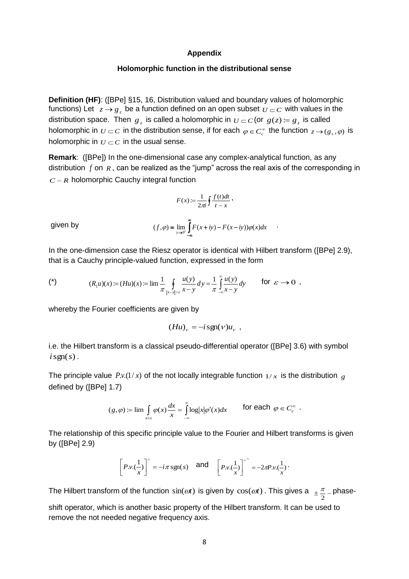### **Appendix**

### **Holomorphic function in the distributional sense**

**Definition (HF)**: ([BPe] §15, 16, Distribution valued and boundary values of holomorphic functions) Let  $z \rightarrow g_z$  be a function defined on an open subset  $\overline{\nu} \subset c$  with values in the distribution space. Then  $g_z$  is called a holomorphic in  $U \subset C$  (or  $g(z) \coloneqq g_z$  is called holomorphic in  $U\subset C$  in the distribution sense, if for each  $\varphi\in C_c^\infty$  the function  $z\to (g_s,\varphi)$  is holomorphic in  $U\subset C$  in the usual sense.

**Remark**: ([BPe]) In the one-dimensional case any complex-analytical function, as any distribution  $f$  on  $R$ , can be realized as the "jump" across the real axis of the corresponding in  $C - R$  holomorphic Cauchy integral function

$$
F(x) := \frac{1}{2\pi i} \oint \frac{f(t)dt}{t-x},
$$

 $f(x, \varphi) = \lim_{y \to 0^+} \int_0^{\infty} F(x + iy) - F(x - iy) \varphi(x) dx$ 

 $=\lim_{y\to 0^+}\int_{-\infty}^{x}F(x+iy)-F(x-iy))\varphi(x)dx$  .

given by

In the one-dimension case the Riesz operator is identical with Hilbert transform ([BPe] 2.9), that is a Cauchy principle-valued function, expressed in the form

(\*) 
$$
(R_1u)(x) := (Hu)(x) := \lim_{\pi} \frac{1}{\pi} \oint_{|x-y| > \varepsilon} \frac{u(y)}{x-y} dy = \frac{1}{\pi} \int_{-\infty}^{\infty} \frac{u(y)}{x-y} dy \quad \text{for } \varepsilon \to 0 ,
$$

whereby the Fourier coefficients are given by

$$
(Hu)_v = -i \operatorname{sgn}(v) u_v ,
$$

i.e. the Hilbert transform is a classical pseudo-differential operator ([BPe] 3.6) with symbol  $i$ sgn( $s$ ).

The principle value  $P.v. (1/x)$  of the not locally integrable function  $1/x$  is the distribution  $g$ defined by ([BPe] 1.7)

$$
(g,\varphi) := \lim \int_{x \geq \varepsilon} \varphi(x) \frac{dx}{x} = \int_{-\infty}^{\infty} \log |x| \varphi'(x) dx \qquad \text{for each } \varphi \in C_c^{\infty}.
$$

The relationship of this specific principle value to the Fourier and Hilbert transforms is given by ([BPe] 2.9)

$$
\left[P.v.(\frac{1}{x})\right]^\wedge = -i\pi \operatorname{sgn}(s) \quad \text{and} \quad \left[P.v.(\frac{1}{x})\right]^\wedge = -2\pi P.v.(\frac{1}{x})
$$

The Hilbert transform of the function  $sin(\omega t)$  is given by  $cos(\omega t)$  . This gives a  $\pm \frac{\pi}{2}$  $\frac{\pi}{2}$  phase-

shift operator, which is another basic property of the Hilbert transform. It can be used to remove the not needed negative frequency axis.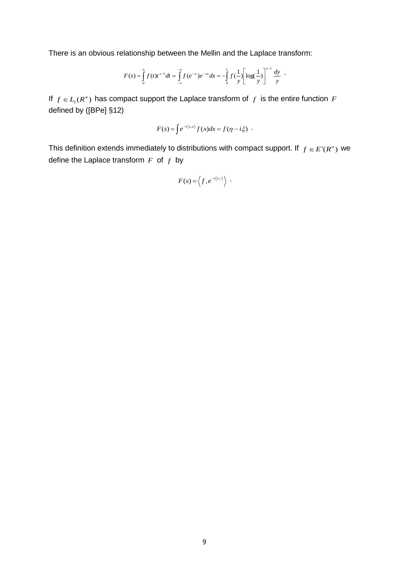There is an obvious relationship between the Mellin and the Laplace transform:

$$
F(s) = \int_{0}^{\infty} f(t)t^{s-1}dt = \int_{-\infty}^{-\infty} f(e^{-x})e^{-sx}dx = -\int_{0}^{1} f(\frac{1}{y})\left[\log(\frac{1}{y})\right]^{s-1}\frac{dy}{y}.
$$

If  $f \in L_1(R^n)$  has compact support the Laplace transform of  $f$  is the entire function  $F$ defined by ([BPe] §12)

$$
F(s) = \int e^{-i\langle s,x\rangle} f(x) dx = f(\eta - i\xi) .
$$

This definition extends immediately to distributions with compact support. If  $f \in E'(R^n)$  we define the Laplace transform *F* of *f* by

$$
F(s) = \langle f, e^{-i\langle s, \circ \rangle} \rangle \ .
$$